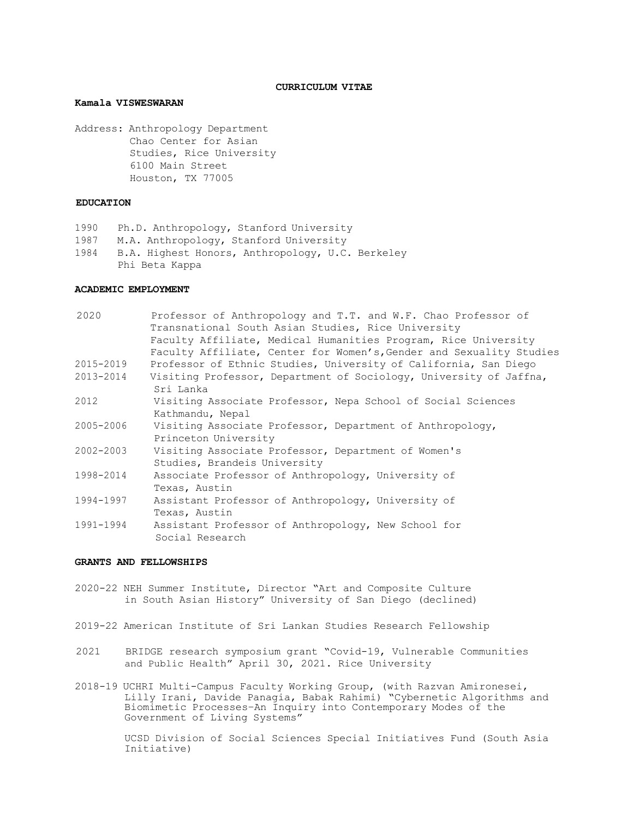#### **CURRICULUM VITAE**

## **Kamala VISWESWARAN**

 Address: Anthropology Department Chao Center for Asian Studies, Rice University 6100 Main Street Houston, TX 77005

## **EDUCATION**

- 1990 Ph.D. Anthropology, Stanford University
- 1987 M.A. Anthropology, Stanford University
- 1984 B.A. Highest Honors, Anthropology, U.C. Berkeley Phi Beta Kappa

### **ACADEMIC EMPLOYMENT**

| 2020      | Professor of Anthropology and T.T. and W.F. Chao Professor of<br>Transnational South Asian Studies, Rice University |
|-----------|---------------------------------------------------------------------------------------------------------------------|
|           | Faculty Affiliate, Medical Humanities Program, Rice University                                                      |
|           | Faculty Affiliate, Center for Women's, Gender and Sexuality Studies                                                 |
| 2015-2019 | Professor of Ethnic Studies, University of California, San Diego                                                    |
| 2013-2014 | Visiting Professor, Department of Sociology, University of Jaffna,<br>Sri Lanka                                     |
| 2012      | Visiting Associate Professor, Nepa School of Social Sciences<br>Kathmandu, Nepal                                    |
| 2005-2006 | Visiting Associate Professor, Department of Anthropology,<br>Princeton University                                   |
| 2002-2003 | Visiting Associate Professor, Department of Women's<br>Studies, Brandeis University                                 |
| 1998-2014 | Associate Professor of Anthropology, University of<br>Texas, Austin                                                 |
| 1994-1997 | Assistant Professor of Anthropology, University of<br>Texas, Austin                                                 |
| 1991-1994 | Assistant Professor of Anthropology, New School for<br>Social Research                                              |
|           |                                                                                                                     |

### **GRANTS AND FELLOWSHIPS**

- 2020-22 NEH Summer Institute, Director "Art and Composite Culture in South Asian History" University of San Diego (declined)
- 2019-22 American Institute of Sri Lankan Studies Research Fellowship
- 2021 BRIDGE research symposium grant "Covid-19, Vulnerable Communities and Public Health" April 30, 2021. Rice University
- ri<br>1 2018-19 UCHRI Multi-Campus Faculty Working Group, (with Razvan Amironesei, Lilly Irani, Davide Panagia, Babak Rahimi) "Cybernetic Algorithms and Biomimetic Processes–An Inquiry into Contemporary Modes of the Government of Living Systems"

 UCSD Division of Social Sciences Special Initiatives Fund (South Asia Initiative)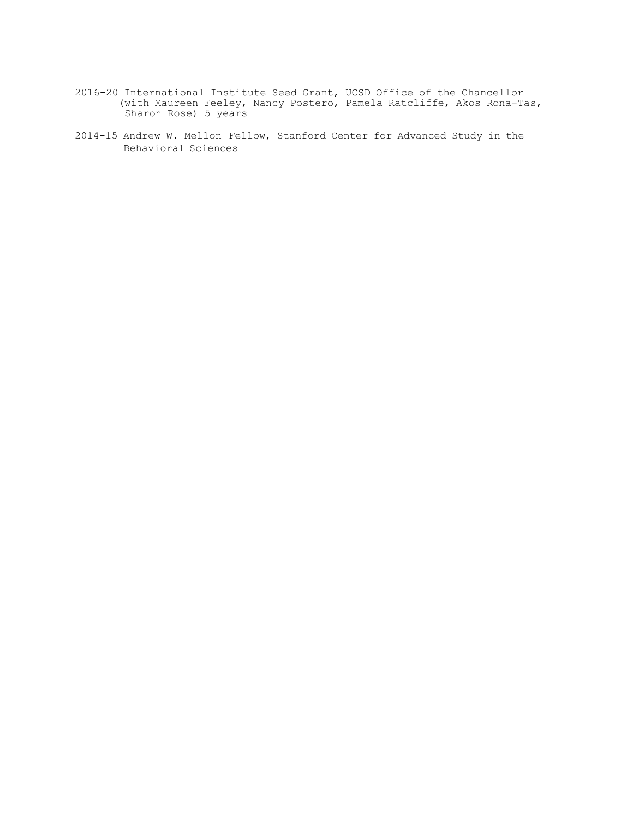- J. 2016-20 International Institute Seed Grant, UCSD Office of the Chancellor (with Maureen Feeley, Nancy Postero, Pamela Ratcliffe, Akos Rona-Tas, Sharon Rose) 5 years
- 2014-15 Andrew W. Mellon Fellow, Stanford Center for Advanced Study in the Behavioral Sciences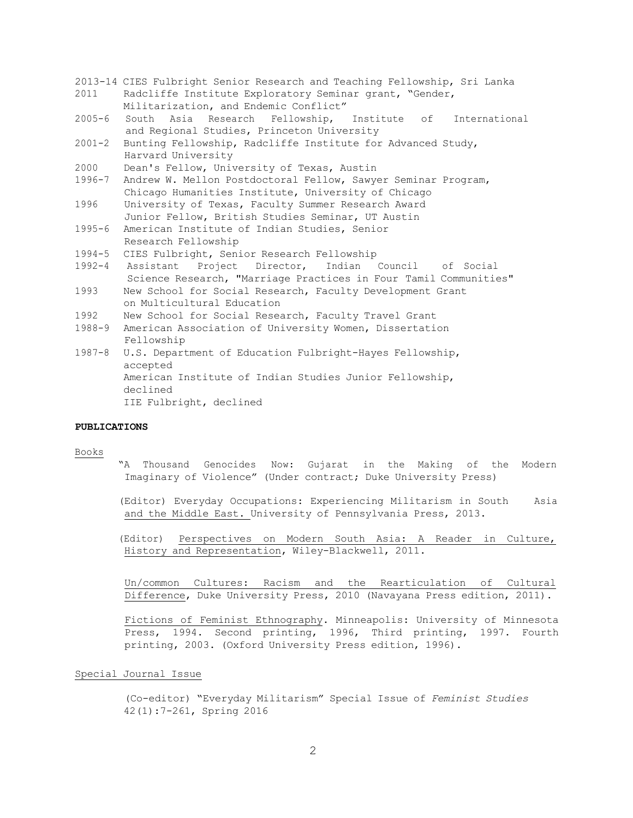- 2013-14 CIES Fulbright Senior Research and Teaching Fellowship, Sri Lanka 2011 Radcliffe Institute Exploratory Seminar grant, "Gender, Militarization, and Endemic Conflict"
- 2005-6 South Asia Research Fellowship, Institute of International and Regional Studies, Princeton University
- 2001-2 Bunting Fellowship, Radcliffe Institute for Advanced Study, Harvard University
- 2000 Dean's Fellow, University of Texas, Austin
- 1996-7 Andrew W. Mellon Postdoctoral Fellow, Sawyer Seminar Program, Chicago Humanities Institute, University of Chicago
- 1996 University of Texas, Faculty Summer Research Award Junior Fellow, British Studies Seminar, UT Austin
- 1995-6 American Institute of Indian Studies, Senior Research Fellowship
- 1994-5 CIES Fulbright, Senior Research Fellowship
- 1992-4 Assistant Project Director, Indian Council of Social Science Research, "Marriage Practices in Four Tamil Communities"
- 1993 New School for Social Research, Faculty Development Grant on Multicultural Education
- 1992 New School for Social Research, Faculty Travel Grant
- 1988-9 American Association of University Women, Dissertation Fellowship
- 1987-8 U.S. Department of Education Fulbright-Hayes Fellowship, American Institute of Indian Studies Junior Fellowship, IIE Fulbright, declined accepted declined

## **PUBLICATIONS**

#### Books

 "A Thousand Genocides Now: Gujarat in the Making of the Modern Imaginary of Violence" (Under contract; Duke University Press)

 (Editor) Everyday Occupations: Experiencing Militarism in South Asia and the Middle East. University of Pennsylvania Press, 2013.

 (Editor) Perspectives on Modern South Asia: A Reader in Culture, History and Representation, Wiley-Blackwell, 2011.

 Un/common Cultures: Racism and the Rearticulation of Cultural Difference, Duke University Press, 2010 (Navayana Press edition, 2011).

 Fictions of Feminist Ethnography. Minneapolis: University of Minnesota Press, 1994. Second printing, 1996, Third printing, 1997. Fourth printing, 2003. (Oxford University Press edition, 1996).

## Special Journal Issue

 (Co-editor) "Everyday Militarism" Special Issue of *Feminist Studies*  42(1):7-261, Spring 2016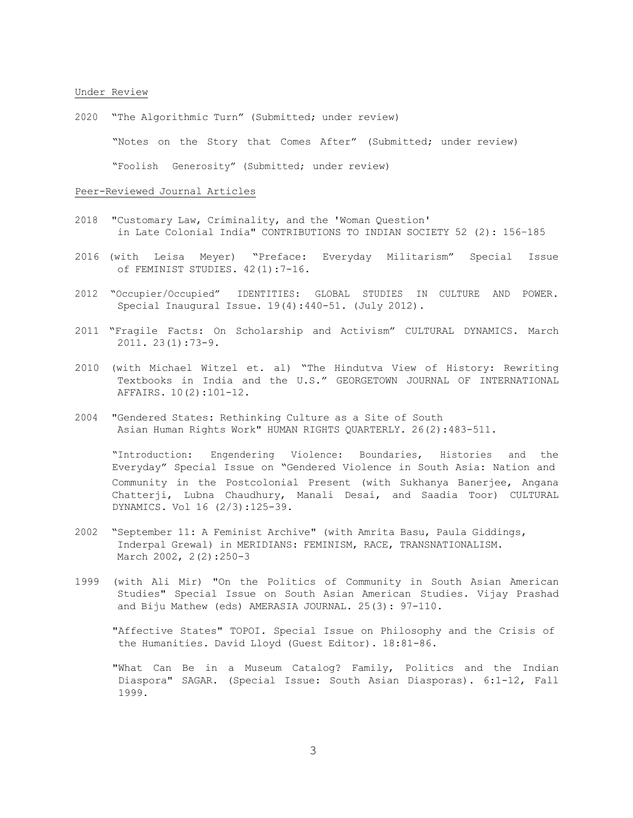#### Under Review

2020 "The Algorithmic Turn" (Submitted; under review)

"Notes on the Story that Comes After" (Submitted; under review)

"Foolish Generosity" (Submitted; under review)

### Peer-Reviewed Journal Articles

- 2018 "Customary Law, Criminality, and the 'Woman Question' in Late Colonial India" CONTRIBUTIONS TO INDIAN SOCIETY 52 (2): 156–185
- 2016 (with Leisa Meyer) "Preface: Everyday Militarism" Special Issue of FEMINIST STUDIES. 42(1):7-16.
- 2012 "Occupier/Occupied" IDENTITIES: GLOBAL STUDIES IN CULTURE AND POWER. Special Inaugural Issue. 19(4):440-51. (July 2012).
- 2011 "Fragile Facts: On Scholarship and Activism" CULTURAL DYNAMICS. March 2011. 23(1):73-9.
- 2010 (with Michael Witzel et. al) "The Hindutva View of History: Rewriting Textbooks in India and the U.S." GEORGETOWN JOURNAL OF INTERNATIONAL AFFAIRS. 10(2):101-12.
- 2004 "Gendered States: Rethinking Culture as a Site of South Asian Human Rights Work" HUMAN RIGHTS QUARTERLY. 26(2):483-511.

 "Introduction: Engendering Violence: Boundaries, Histories and the Everyday" Special Issue on "Gendered Violence in South Asia: Nation and Community in the Postcolonial Present (with Sukhanya Banerjee, Angana Chatterji, Lubna Chaudhury, Manali Desai, and Saadia Toor) CULTURAL DYNAMICS. Vol 16 (2/3):125-39.

- 2002 "September 11: A Feminist Archive" (with Amrita Basu, Paula Giddings, Inderpal Grewal) in MERIDIANS: FEMINISM, RACE, TRANSNATIONALISM. March 2002, 2(2):250-3
- 1999 (with Ali Mir) "On the Politics of Community in South Asian American Studies" Special Issue on South Asian American Studies. Vijay Prashad and Biju Mathew (eds) AMERASIA JOURNAL. 25(3): 97-110.

 "Affective States" TOPOI. Special Issue on Philosophy and the Crisis of the Humanities. David Lloyd (Guest Editor). 18:81-86.

 "What Can Be in a Museum Catalog? Family, Politics and the Indian Diaspora" SAGAR. (Special Issue: South Asian Diasporas). 6:1-12, Fall 1999.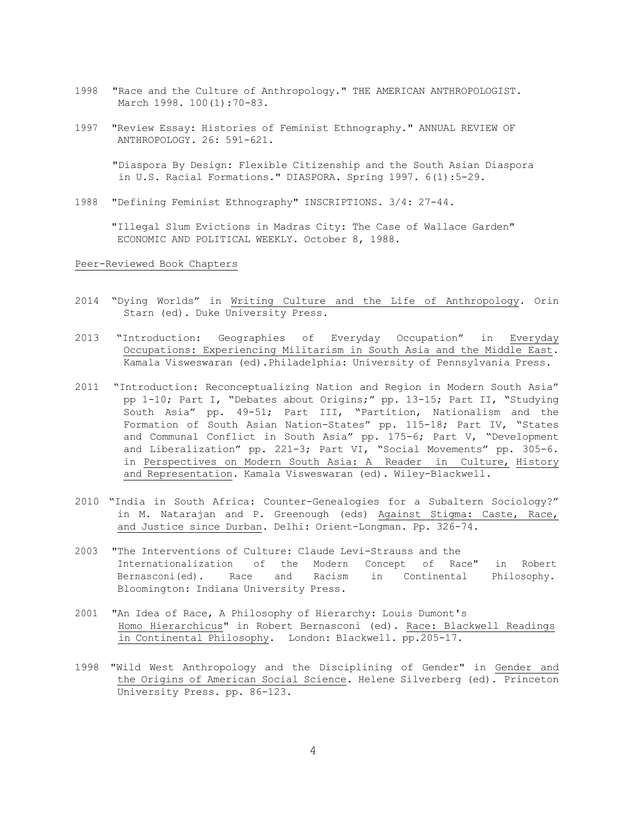- 1998 "Race and the Culture of Anthropology." THE AMERICAN ANTHROPOLOGIST. March 1998. 100(1):70-83.
- 1997 "Review Essay: Histories of Feminist Ethnography." ANNUAL REVIEW OF ANTHROPOLOGY. 26: 591-621.

 "Diaspora By Design: Flexible Citizenship and the South Asian Diaspora in U.S. Racial Formations." DIASPORA. Spring 1997. 6(1):5-29.

1988 "Defining Feminist Ethnography" INSCRIPTIONS. 3/4: 27-44.

 "Illegal Slum Evictions in Madras City: The Case of Wallace Garden" ECONOMIC AND POLITICAL WEEKLY. October 8, 1988.

### Peer-Reviewed Book Chapters

- 2014 "Dying Worlds" in Writing Culture and the Life of Anthropology. Orin Starn (ed). Duke University Press.
- 2013 "Introduction: Geographies of Everyday Occupation" in Everyday Occupations: Experiencing Militarism in South Asia and the Middle East. Kamala Visweswaran (ed).Philadelphia: University of Pennsylvania Press.
- 2011 "Introduction: Reconceptualizing Nation and Region in Modern South Asia" pp 1-10; Part I, "Debates about Origins;" pp. 13-15; Part II, "Studying South Asia" pp. 49-51; Part III, "Partition, Nationalism and the Formation of South Asian Nation-States" pp. 115-18; Part IV, "States and Communal Conflict in South Asia" pp. 175-6; Part V, "Development and Liberalization" pp. 221-3; Part VI, "Social Movements" pp. 305-6. in Perspectives on Modern South Asia: A Reader in Culture, History and Representation. Kamala Visweswaran (ed). Wiley-Blackwell.
- 2010 "India in South Africa: Counter-Genealogies for a Subaltern Sociology?" in M. Natarajan and P. Greenough (eds) Against Stigma: Caste, Race, and Justice since Durban. Delhi: Orient-Longman. Pp. 326-74.
- 2003 "The Interventions of Culture: Claude Levi-Strauss and the Internationalization of the Modern Concept of Race" in Robert Bernasconi(ed). Race and Racism in Continental Philosophy. Bloomington: Indiana University Press.
- 2001 "An Idea of Race, A Philosophy of Hierarchy: Louis Dumont's Homo Hierarchicus" in Robert Bernasconi (ed). Race: Blackwell Readings in Continental Philosophy. London: Blackwell. pp.205-17.
- 1998 "Wild West Anthropology and the Disciplining of Gender" in Gender and the Origins of American Social Science. Helene Silverberg (ed). Princeton University Press. pp. 86-123.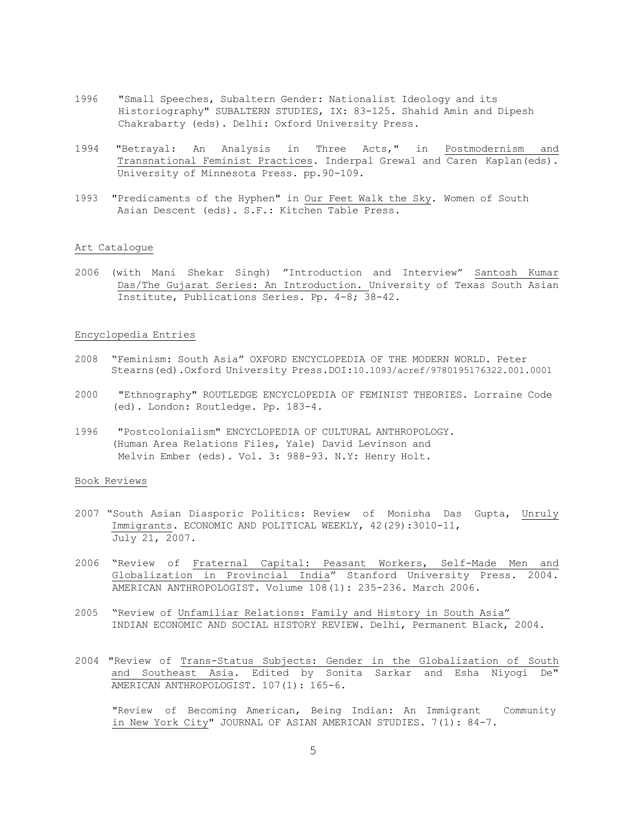- 1996 "Small Speeches, Subaltern Gender: Nationalist Ideology and its Historiography" SUBALTERN STUDIES, IX: 83-125. Shahid Amin and Dipesh Chakrabarty (eds). Delhi: Oxford University Press.
- 1994 "Betrayal: An Analysis in Three Acts," in Postmodernism and Transnational Feminist Practices. Inderpal Grewal and Caren Kaplan(eds). University of Minnesota Press. pp.90-109.
- 1993 "Predicaments of the Hyphen" in Our Feet Walk the Sky. Women of South Asian Descent (eds). S.F.: Kitchen Table Press.

## Art Catalogue

 2006 (with Mani Shekar Singh) "Introduction and Interview" Santosh Kumar Das/The Gujarat Series: An Introduction. University of Texas South Asian Institute, Publications Series. Pp. 4-8; 38-42.

### Encyclopedia Entries

- 2008 "Feminism: South Asia" OXFORD ENCYCLOPEDIA OF THE MODERN WORLD. Peter Stearns(ed).Oxford University Press.DOI:10.1093/acref/9780195176322.001.0001
- 2000 "Ethnography" ROUTLEDGE ENCYCLOPEDIA OF FEMINIST THEORIES. Lorraine Code (ed). London: Routledge. Pp. 183-4.
- 1996 "Postcolonialism" ENCYCLOPEDIA OF CULTURAL ANTHROPOLOGY. (Human Area Relations Files, Yale) David Levinson and Melvin Ember (eds). Vol. 3: 988-93. N.Y: Henry Holt.

### Book Reviews

- 2007 "South Asian Diasporic Politics: Review of Monisha Das Gupta, Unruly Immigrants. ECONOMIC AND POLITICAL WEEKLY, 42(29):3010-11, July 21, 2007.
- 2006 "Review of Fraternal Capital: Peasant Workers, Self-Made Men and Globalization in Provincial India" Stanford University Press. 2004. AMERICAN ANTHROPOLOGIST. Volume 108(1): 235-236. March 2006.
- 2005 "Review of Unfamiliar Relations: Family and History in South Asia" INDIAN ECONOMIC AND SOCIAL HISTORY REVIEW. Delhi, Permanent Black, 2004.
- 2004 "Review of Trans-Status Subjects: Gender in the Globalization of South and Southeast Asia. Edited by Sonita Sarkar and Esha Niyogi De" AMERICAN ANTHROPOLOGIST. 107(1): 165-6.

 "Review of Becoming American, Being Indian: An Immigrant Community in New York City" JOURNAL OF ASIAN AMERICAN STUDIES. 7(1): 84-7.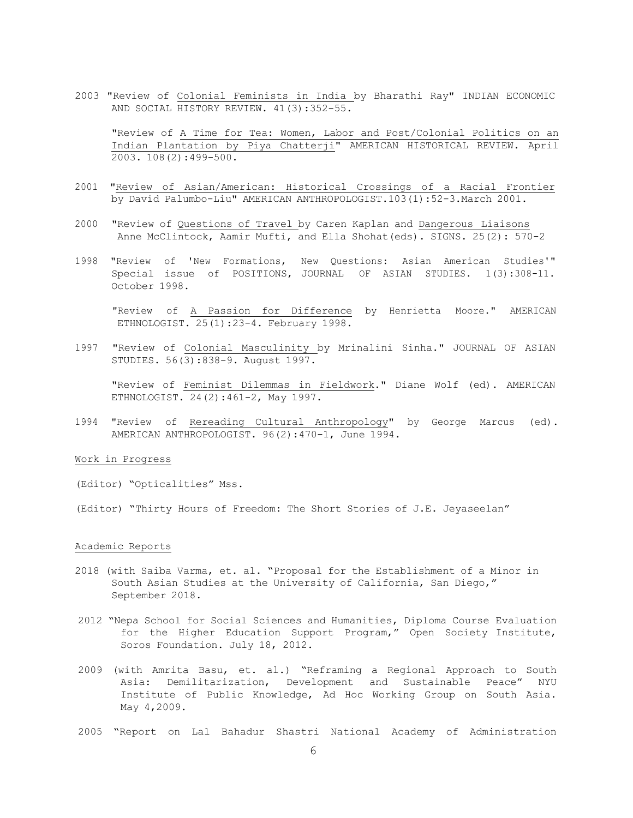2003 "Review of Colonial Feminists in India by Bharathi Ray" INDIAN ECONOMIC AND SOCIAL HISTORY REVIEW. 41(3):352-55.

 "Review of A Time for Tea: Women, Labor and Post/Colonial Politics on an Indian Plantation by Piya Chatterji" AMERICAN HISTORICAL REVIEW. April 2003. 108(2):499-500.

- 2001 "Review of Asian/American: Historical Crossings of a Racial Frontier by David Palumbo-Liu" AMERICAN ANTHROPOLOGIST.103(1):52-3.March 2001.
- 2000 "Review of Questions of Travel by Caren Kaplan and Dangerous Liaisons Anne McClintock, Aamir Mufti, and Ella Shohat(eds). SIGNS. 25(2): 570-2
- 1998 "Review of 'New Formations, New Questions: Asian American Studies'" Special issue of POSITIONS, JOURNAL OF ASIAN STUDIES. 1(3):308-11. October 1998.

 "Review of A Passion for Difference by Henrietta Moore." AMERICAN ETHNOLOGIST. 25(1):23-4. February 1998.

 1997 "Review of Colonial Masculinity by Mrinalini Sinha." JOURNAL OF ASIAN STUDIES. 56(3):838-9. August 1997.

 "Review of Feminist Dilemmas in Fieldwork." Diane Wolf (ed). AMERICAN ETHNOLOGIST. 24(2):461-2, May 1997.

 1994 "Review of Rereading Cultural Anthropology" by George Marcus (ed). AMERICAN ANTHROPOLOGIST. 96(2):470-1, June 1994.

### Work in Progress

(Editor) "Opticalities" Mss.

(Editor) "Thirty Hours of Freedom: The Short Stories of J.E. Jeyaseelan"

### Academic Reports

- 2018 (with Saiba Varma, et. al. "Proposal for the Establishment of a Minor in South Asian Studies at the University of California, San Diego," September 2018.
- 2012 "Nepa School for Social Sciences and Humanities, Diploma Course Evaluation for the Higher Education Support Program," Open Society Institute, Soros Foundation. July 18, 2012.
- 2009 (with Amrita Basu, et. al.) "Reframing a Regional Approach to South Asia: Demilitarization, Development and Sustainable Peace" NYU Institute of Public Knowledge, Ad Hoc Working Group on South Asia. May 4,2009.
- 2005 "Report on Lal Bahadur Shastri National Academy of Administration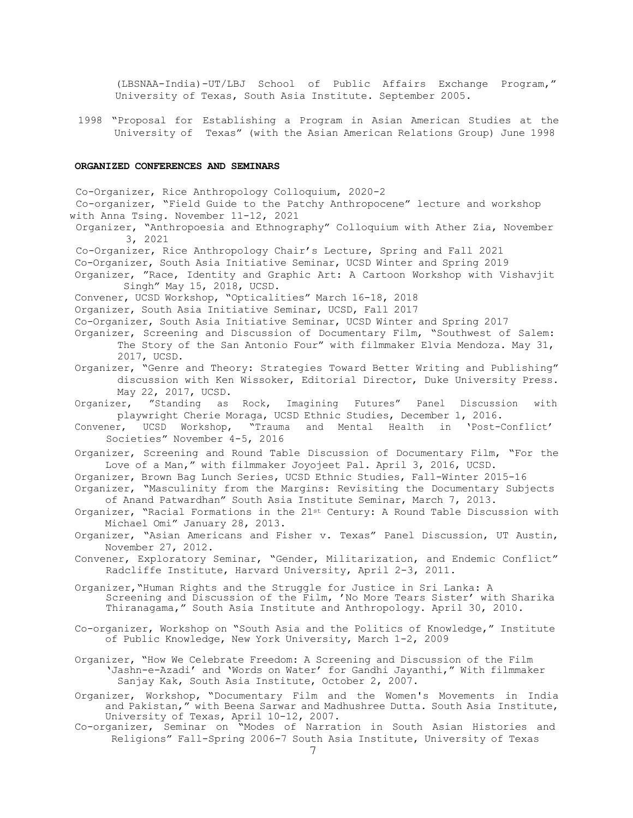(LBSNAA-India)-UT/LBJ School of Public Affairs Exchange Program," University of Texas, South Asia Institute. September 2005.

 1998 "Proposal for Establishing a Program in Asian American Studies at the University of Texas" (with the Asian American Relations Group) June 1998

### **ORGANIZED CONFERENCES AND SEMINARS**

 Co-Organizer, South Asia Initiative Seminar, UCSD Winter and Spring 2019 Organizer, "Race, Identity and Graphic Art: A Cartoon Workshop with Vishavjit Singh" May 15, 2018, UCSD. Convener, UCSD Workshop, "Opticalities" March 16-18, 2018 Organizer, South Asia Initiative Seminar, UCSD, Fall 2017 Co-Organizer, South Asia Initiative Seminar, UCSD Winter and Spring 2017 Organizer, Screening and Discussion of Documentary Film, "Southwest of Salem: The Story of the San Antonio Four" with filmmaker Elvia Mendoza. May 31, 2017, UCSD. Organizer, "Genre and Theory: Strategies Toward Better Writing and Publishing" discussion with Ken Wissoker, Editorial Director, Duke University Press. May 22, 2017, UCSD. Organizer, "Standing as Rock, Imagining Futures" Panel Discussion with playwright Cherie Moraga, UCSD Ethnic Studies, December 1, 2016. Convener, UCSD Workshop, "Trauma and Mental Health in 'Post-Conflict' Societies" November 4-5, 2016 Organizer, Screening and Round Table Discussion of Documentary Film, "For the Love of a Man," with filmmaker Joyojeet Pal. April 3, 2016, UCSD. Organizer, Brown Bag Lunch Series, UCSD Ethnic Studies, Fall-Winter 2015-16 Organizer, "Masculinity from the Margins: Revisiting the Documentary Subjects of Anand Patwardhan" South Asia Institute Seminar, March 7, 2013. Organizer, "Racial Formations in the 21st Century: A Round Table Discussion with Michael Omi" January 28, 2013. Organizer, "Asian Americans and Fisher v. Texas" Panel Discussion, UT Austin, November 27, 2012. Convener, Exploratory Seminar, "Gender, Militarization, and Endemic Conflict" Radcliffe Institute, Harvard University, April 2-3, 2011. Organizer,"Human Rights and the Struggle for Justice in Sri Lanka: A Co-organizer, Workshop on "South Asia and the Politics of Knowledge," Institute Organizer, "How We Celebrate Freedom: A Screening and Discussion of the Film Sanjay Kak, South Asia Institute, October 2, 2007. Organizer, Workshop, "Documentary Film and the Women's Movements in India University of Texas, April 10-12, 2007. Religions" Fall-Spring 2006-7 South Asia Institute, University of Texas Co-Organizer, Rice Anthropology Colloquium, 2020-2 Co-organizer, "Field Guide to the Patchy Anthropocene" lecture and workshop with Anna Tsing. November 11-12, 2021 Organizer, "Anthropoesia and Ethnography" Colloquium with Ather Zia, November 3, 2021 Co-Organizer, Rice Anthropology Chair's Lecture, Spring and Fall 2021 Screening and Discussion of the Film, 'No More Tears Sister' with Sharika Thiranagama," South Asia Institute and Anthropology. April 30, 2010. of Public Knowledge, New York University, March 1-2, 2009 'Jashn-e-Azadi' and 'Words on Water' for Gandhi Jayanthi," With filmmaker and Pakistan," with Beena Sarwar and Madhushree Dutta. South Asia Institute, Co-organizer, Seminar on "Modes of Narration in South Asian Histories and 7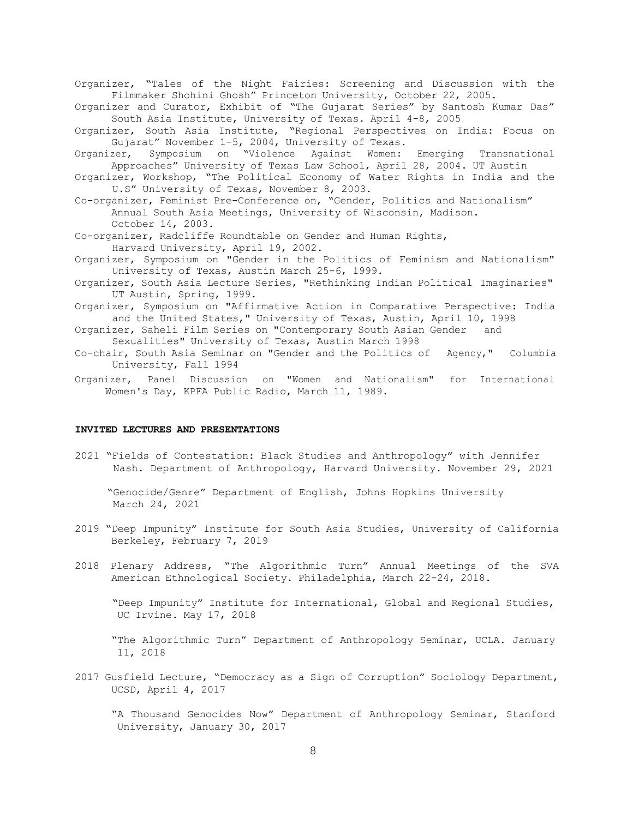Organizer, "Tales of the Night Fairies: Screening and Discussion with the Filmmaker Shohini Ghosh" Princeton University, October 22, 2005.

- Organizer and Curator, Exhibit of "The Gujarat Series" by Santosh Kumar Das" South Asia Institute, University of Texas. April 4-8, 2005
- Organizer, South Asia Institute, "Regional Perspectives on India: Focus on Gujarat" November 1-5, 2004, University of Texas.
- Organizer, Symposium on "Violence Against Women: Emerging Transnational Approaches" University of Texas Law School, April 28, 2004. UT Austin
- Organizer, Workshop, "The Political Economy of Water Rights in India and the U.S" University of Texas, November 8, 2003.
- Co-organizer, Feminist Pre-Conference on, "Gender, Politics and Nationalism" Annual South Asia Meetings, University of Wisconsin, Madison. October 14, 2003.
- Co-organizer, Radcliffe Roundtable on Gender and Human Rights, Harvard University, April 19, 2002.
- Organizer, Symposium on "Gender in the Politics of Feminism and Nationalism" University of Texas, Austin March 25-6, 1999.
- Organizer, South Asia Lecture Series, "Rethinking Indian Political Imaginaries" UT Austin, Spring, 1999.
- Organizer, Symposium on "Affirmative Action in Comparative Perspective: India and the United States," University of Texas, Austin, April 10, 1998

 Organizer, Saheli Film Series on "Contemporary South Asian Gender and Sexualities" University of Texas, Austin March 1998

- Co-chair, South Asia Seminar on "Gender and the Politics of Agency," Columbia University, Fall 1994
- Organizer, Panel Discussion on "Women and Nationalism" for International Women's Day, KPFA Public Radio, March 11, 1989.

### **INVITED LECTURES AND PRESENTATIONS**

2021 "Fields of Contestation: Black Studies and Anthropology" with Jennifer Nash. Department of Anthropology, Harvard University. November 29, 2021

"Genocide/Genre" Department of English, Johns Hopkins University March 24, 2021

- 2019 "Deep Impunity" Institute for South Asia Studies, University of California Berkeley, February 7, 2019
- 2018 Plenary Address, "The Algorithmic Turn" Annual Meetings of the SVA American Ethnological Society. Philadelphia, March 22-24, 2018.

 "Deep Impunity" Institute for International, Global and Regional Studies, UC Irvine. May 17, 2018

 "The Algorithmic Turn" Department of Anthropology Seminar, UCLA. January 11, 2018

 2017 Gusfield Lecture, "Democracy as a Sign of Corruption" Sociology Department, UCSD, April 4, 2017

 "A Thousand Genocides Now" Department of Anthropology Seminar, Stanford University, January 30, 2017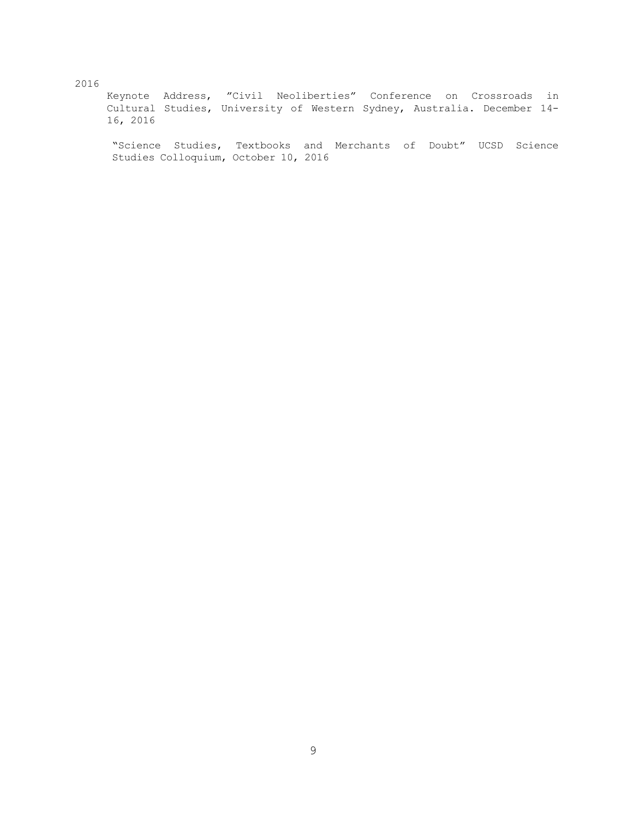2016 Keynote Address, "Civil Neoliberties" Conference on Crossroads in Cultural Studies, University of Western Sydney, Australia. December 14- 16, 2016

 $\overline{\phantom{a}}$ "Science Studies, Textbooks and Merchants of Doubt" UCSD Science Studies Colloquium, October 10, 2016

# 2016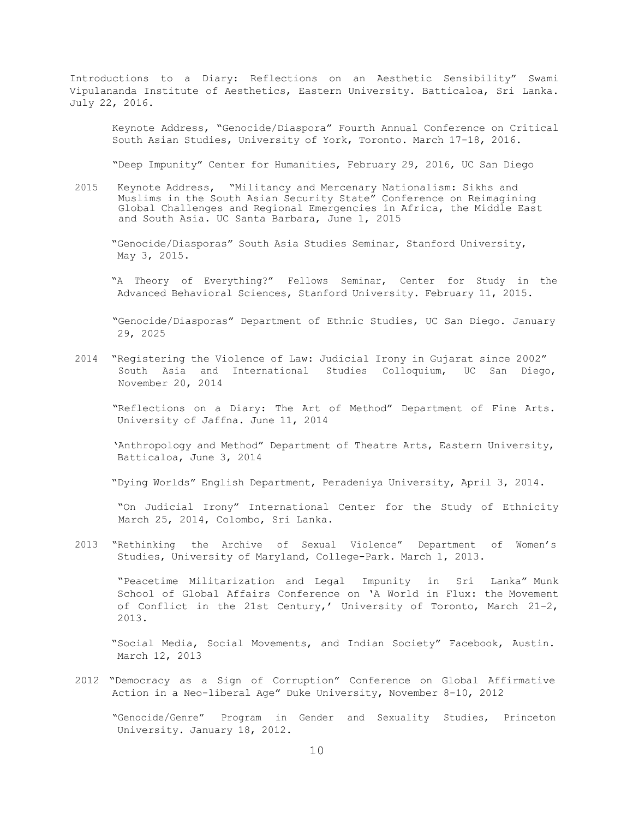Introductions to a Diary: Reflections on an Aesthetic Sensibility" Swami Vipulananda Institute of Aesthetics, Eastern University. Batticaloa, Sri Lanka. July 22, 2016.

 Keynote Address, "Genocide/Diaspora" Fourth Annual Conference on Critical South Asian Studies, University of York, Toronto. March 17-18, 2016.

"Deep Impunity" Center for Humanities, February 29, 2016, UC San Diego

 2015 Keynote Address, "Militancy and Mercenary Nationalism: Sikhs and Muslims in the South Asian Security State" Conference on Reimagining and South Asia. UC Santa Barbara, June 1, 2015 Global Challenges and Regional Emergencies in Africa, the Middle East

 "Genocide/Diasporas" South Asia Studies Seminar, Stanford University, May 3, 2015.

 "A Theory of Everything?" Fellows Seminar, Center for Study in the Advanced Behavioral Sciences, Stanford University. February 11, 2015.

 "Genocide/Diasporas" Department of Ethnic Studies, UC San Diego. January 29, 2025

 2014 "Registering the Violence of Law: Judicial Irony in Gujarat since 2002" South Asia and International Studies Colloquium, UC San Diego, November 20, 2014

 "Reflections on a Diary: The Art of Method" Department of Fine Arts. University of Jaffna. June 11, 2014

 'Anthropology and Method" Department of Theatre Arts, Eastern University, Batticaloa, June 3, 2014

"Dying Worlds" English Department, Peradeniya University, April 3, 2014.

 "On Judicial Irony" International Center for the Study of Ethnicity March 25, 2014, Colombo, Sri Lanka.

 2013 "Rethinking the Archive of Sexual Violence" Department of Women's Studies, University of Maryland, College-Park. March 1, 2013.

 "Peacetime Militarization and Legal Impunity in Sri Lanka" Munk School of Global Affairs Conference on 'A World in Flux: the Movement of Conflict in the 21st Century,' University of Toronto, March 21-2, 2013.

 "Social Media, Social Movements, and Indian Society" Facebook, Austin. March 12, 2013

 2012 "Democracy as a Sign of Corruption" Conference on Global Affirmative Action in a Neo-liberal Age" Duke University, November 8-10, 2012

 "Genocide/Genre" Program in Gender and Sexuality Studies, Princeton University. January 18, 2012.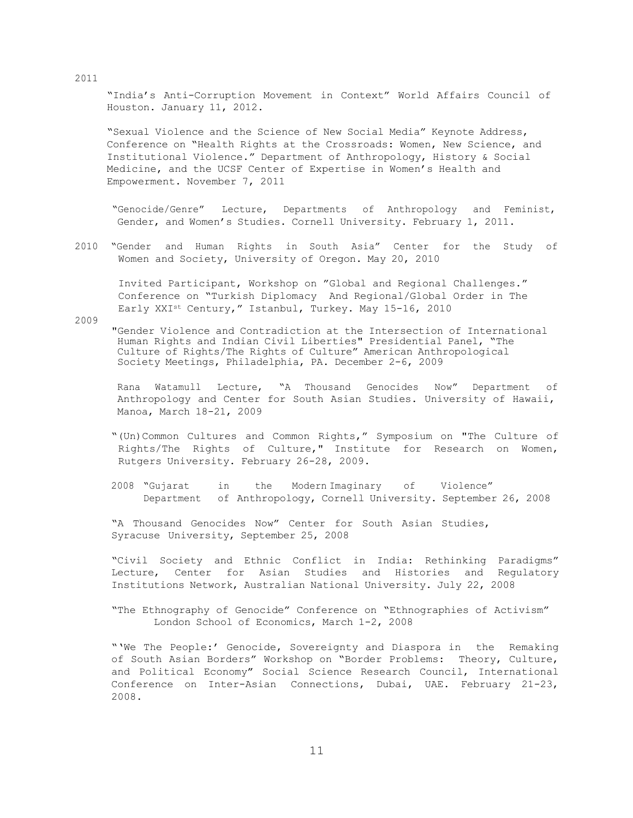"India's Anti-Corruption Movement in Context" World Affairs Council of Houston. January 11, 2012.

 "Sexual Violence and the Science of New Social Media" Keynote Address, Conference on "Health Rights at the Crossroads: Women, New Science, and Institutional Violence." Department of Anthropology, History & Social Medicine, and the UCSF Center of Expertise in Women's Health and Empowerment. November 7, 2011

 "Genocide/Genre" Lecture, Departments of Anthropology and Feminist, Gender, and Women's Studies. Cornell University. February 1, 2011.

 2010 "Gender and Human Rights in South Asia" Center for the Study of Women and Society, University of Oregon. May 20, 2010

 Invited Participant, Workshop on "Global and Regional Challenges." Conference on "Turkish Diplomacy And Regional/Global Order in The Early XXIst Century," Istanbul, Turkey. May 15-16, 2010

2009

 "Gender Violence and Contradiction at the Intersection of International Culture of Rights/The Rights of Culture" American Anthropological Human Rights and Indian Civil Liberties" Presidential Panel, "The Society Meetings, Philadelphia, PA. December 2-6, 2009

 Rana Watamull Lecture, "A Thousand Genocides Now" Department of Anthropology and Center for South Asian Studies. University of Hawaii, Manoa, March 18-21, 2009

- "(Un)Common Cultures and Common Rights," Symposium on "The Culture of Rights/The Rights of Culture," Institute for Research on Women, Rutgers University. February 26-28, 2009.
- 2008 "Gujarat Department of Anthropology, Cornell University. September 26, 2008 in the Modern-Imaginary of Violence"

 "A Thousand Genocides Now" Center for South Asian Studies, Syracuse University, September 25, 2008

 "Civil Society and Ethnic Conflict in India: Rethinking Paradigms" Lecture, Center for Asian Studies and Histories and Regulatory Institutions Network, Australian National University. July 22, 2008

 "The Ethnography of Genocide" Conference on "Ethnographies of Activism" London School of Economics, March 1-2, 2008

 "'We The People:' Genocide, Sovereignty and Diaspora in the Remaking of South Asian Borders" Workshop on "Border Problems: Theory, Culture, and Political Economy**"** Social Science Research Council, International Conference on Inter-Asian Connections, Dubai, UAE. February 21-23, 2008.

2011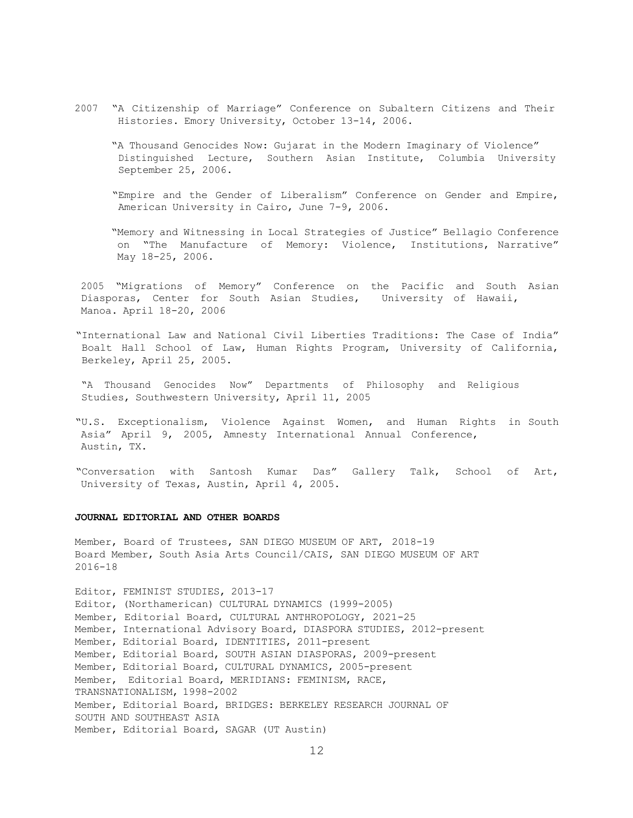- 2007 "A Citizenship of Marriage" Conference on Subaltern Citizens and Their Histories. Emory University, October 13-14, 2006.
	- "A Thousand Genocides Now: Gujarat in the Modern Imaginary of Violence" Distinguished Lecture, Southern Asian Institute, Columbia University September 25, 2006.
	- "Empire and the Gender of Liberalism" Conference on Gender and Empire, American University in Cairo, June 7-9, 2006.

 "Memory and Witnessing in Local Strategies of Justice" Bellagio Conference on "The Manufacture of Memory: Violence, Institutions, Narrative" May 18-25, 2006.

 2005 "Migrations of Memory" Conference on the Pacific and South Asian Diasporas, Center for South Asian Studies, University of Hawaii, Manoa. April 18-20, 2006

 "International Law and National Civil Liberties Traditions: The Case of India" Boalt Hall School of Law, Human Rights Program, University of California, Berkeley, April 25, 2005.

 "A Thousand Genocides Now" Departments of Philosophy and Religious Studies, Southwestern University, April 11, 2005

 "U.S. Exceptionalism, Violence Against Women, and Human Rights in South Asia" April 9, 2005, Amnesty International Annual Conference, Austin, TX.

 "Conversation with Santosh Kumar Das" Gallery Talk, School of Art, University of Texas, Austin, April 4, 2005.

### **JOURNAL EDITORIAL AND OTHER BOARDS**

 Member, Board of Trustees, SAN DIEGO MUSEUM OF ART, 2018-19 Board Member, South Asia Arts Council/CAIS, SAN DIEGO MUSEUM OF ART 2016-18

 Editor, FEMINIST STUDIES, 2013-17 Editor, (Northamerican) CULTURAL DYNAMICS (1999-2005) Member, International Advisory Board, DIASPORA STUDIES, 2012-present Member, Editorial Board, IDENTITIES, 2011-present Member, Editorial Board, SOUTH ASIAN DIASPORAS, 2009-present Member, Editorial Board, CULTURAL DYNAMICS, 2005-present Member, Editorial Board, MERIDIANS: FEMINISM, RACE, Member, Editorial Board, BRIDGES: BERKELEY RESEARCH JOURNAL OF SOUTH AND SOUTHEAST ASIA Member, Editorial Board, SAGAR (UT Austin) Member, Editorial Board, CULTURAL ANTHROPOLOGY, 2021-25 TRANSNATIONALISM, 1998-2002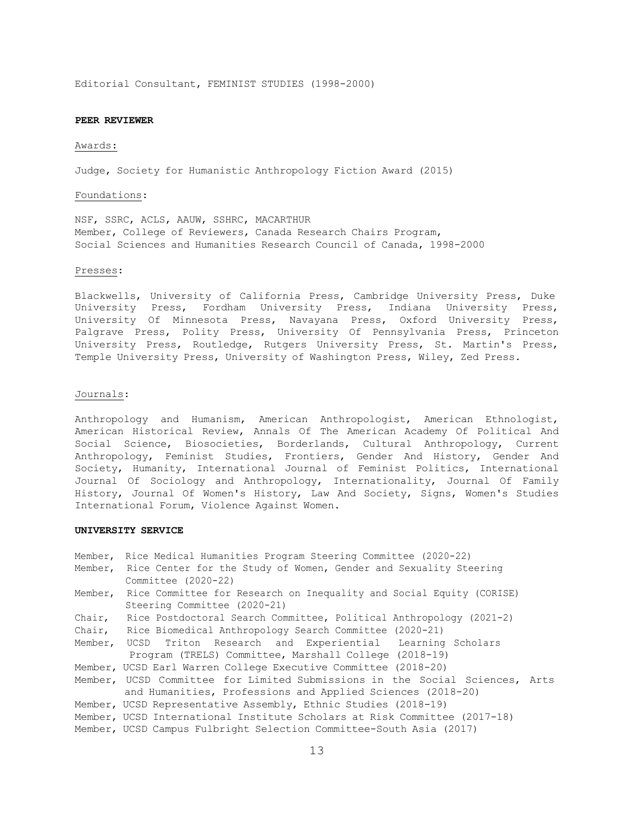Editorial Consultant, FEMINIST STUDIES (1998-2000)

#### **PEER REVIEWER**

#### Awards:

Judge, Society for Humanistic Anthropology Fiction Award (2015)

#### Foundations:

 NSF, SSRC, ACLS, AAUW, SSHRC, MACARTHUR Member, College of Reviewers, Canada Research Chairs Program, Social Sciences and Humanities Research Council of Canada, 1998-2000

#### Presses:

 Blackwells, University of California Press, Cambridge University Press, Duke University Press, Fordham University Press, Indiana University Press, University Of Minnesota Press, Navayana Press, Oxford University Press, Palgrave Press, Polity Press, University Of Pennsylvania Press, Princeton University Press, Routledge, Rutgers University Press, St. Martin's Press, Temple University Press, University of Washington Press, Wiley, Zed Press.

#### Journals:

 Anthropology and Humanism, American Anthropologist, American Ethnologist, American Historical Review, Annals Of The American Academy Of Political And Anthropology, Feminist Studies, Frontiers, Gender And History, Gender And Society, Humanity, International Journal of Feminist Politics, International Journal Of Sociology and Anthropology, Internationality, Journal Of Family History, Journal Of Women's History, Law And Society, Signs, Women's Studies International Forum, Violence Against Women. Social Science, Biosocieties, Borderlands, Cultural Anthropology, Current

### **UNIVERSITY SERVICE**

|         | Member, Rice Medical Humanities Program Steering Committee (2020-22)<br>Member, Rice Center for the Study of Women, Gender and Sexuality Steering<br>Committee (2020-22) |  |
|---------|--------------------------------------------------------------------------------------------------------------------------------------------------------------------------|--|
| Member, | Rice Committee for Research on Inequality and Social Equity (CORISE)<br>Steering Committee (2020-21)                                                                     |  |
| Chair,  | Rice Postdoctoral Search Committee, Political Anthropology (2021-2)                                                                                                      |  |
|         | Chair, Rice Biomedical Anthropology Search Committee (2020-21)                                                                                                           |  |
|         | Member, UCSD Triton Research and Experiential Learning Scholars                                                                                                          |  |
|         | Program (TRELS) Committee, Marshall College (2018-19)                                                                                                                    |  |
|         | Member, UCSD Earl Warren College Executive Committee (2018-20)                                                                                                           |  |
|         | Member, UCSD Committee for Limited Submissions in the Social Sciences, Arts<br>and Humanities, Professions and Applied Sciences (2018-20)                                |  |
|         | Member, UCSD Representative Assembly, Ethnic Studies (2018-19)                                                                                                           |  |
|         | Member, UCSD International Institute Scholars at Risk Committee (2017-18)                                                                                                |  |
|         | Member, UCSD Campus Fulbright Selection Committee-South Asia (2017)                                                                                                      |  |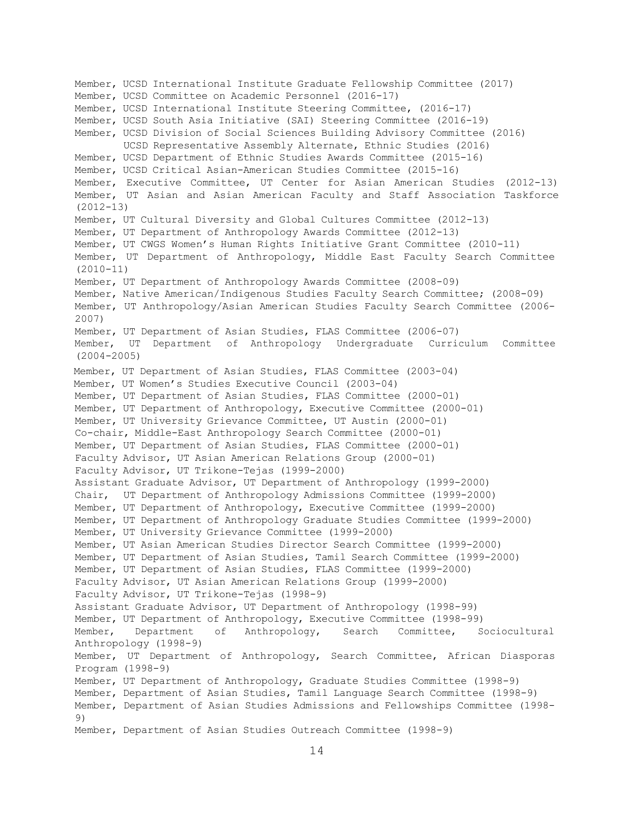Member, UCSD International Institute Graduate Fellowship Committee (2017) Member, UCSD Committee on Academic Personnel (2016-17) Member, UCSD International Institute Steering Committee, (2016-17) Member, UCSD South Asia Initiative (SAI) Steering Committee (2016-19) Member, UCSD Division of Social Sciences Building Advisory Committee (2016) UCSD Representative Assembly Alternate, Ethnic Studies (2016) Member, UCSD Department of Ethnic Studies Awards Committee (2015-16) Member, UCSD Critical Asian-American Studies Committee (2015-16) Member, Executive Committee, UT Center for Asian American Studies (2012-13) Member, UT Asian and Asian American Faculty and Staff Association Taskforce Member, UT Cultural Diversity and Global Cultures Committee (2012-13) Member, UT Department of Anthropology Awards Committee (2012-13) Member, UT CWGS Women's Human Rights Initiative Grant Committee (2010-11) Member, UT Department of Anthropology, Middle East Faculty Search Committee Member, UT Department of Anthropology Awards Committee (2008-09) Member, Native American/Indigenous Studies Faculty Search Committee; (2008-09) Member, UT Anthropology/Asian American Studies Faculty Search Committee (2006- Member, UT Department of Asian Studies, FLAS Committee (2006-07) Member, UT Department of Anthropology Undergraduate Curriculum Committee Member, UT Department of Asian Studies, FLAS Committee (2003-04) Member, UT Women's Studies Executive Council (2003-04) Member, UT Department of Asian Studies, FLAS Committee (2000-01) Member, UT Department of Anthropology, Executive Committee (2000-01) Member, UT University Grievance Committee, UT Austin (2000-01) Co-chair, Middle-East Anthropology Search Committee (2000-01) Member, UT Department of Asian Studies, FLAS Committee (2000-01) Faculty Advisor, UT Asian American Relations Group (2000-01) Faculty Advisor, UT Trikone-Tejas (1999-2000) Assistant Graduate Advisor, UT Department of Anthropology (1999-2000) Chair, UT Department of Anthropology Admissions Committee (1999-2000) Member, UT Department of Anthropology, Executive Committee (1999-2000) Member, UT Department of Anthropology Graduate Studies Committee (1999-2000) Member, UT University Grievance Committee (1999-2000) Member, UT Asian American Studies Director Search Committee (1999-2000) Member, UT Department of Asian Studies, Tamil Search Committee (1999-2000) Member, UT Department of Asian Studies, FLAS Committee (1999-2000) Faculty Advisor, UT Asian American Relations Group (1999-2000) Faculty Advisor, UT Trikone-Tejas (1998-9) Assistant Graduate Advisor, UT Department of Anthropology (1998-99) Member, UT Department of Anthropology, Executive Committee (1998-99) Department Anthropology (1998-9) Member, UT Department of Anthropology, Search Committee, African Diasporas Program (1998-9) Member, UT Department of Anthropology, Graduate Studies Committee (1998-9) Member, Department of Asian Studies, Tamil Language Search Committee (1998-9) Member, Department of Asian Studies Admissions and Fellowships Committee (1998- Member, Department of Asian Studies Outreach Committee (1998-9) (2012-13) (2010-11) 2007) (2004-2005) Member, Department of Anthropology, Search Committee, Sociocultural 9)